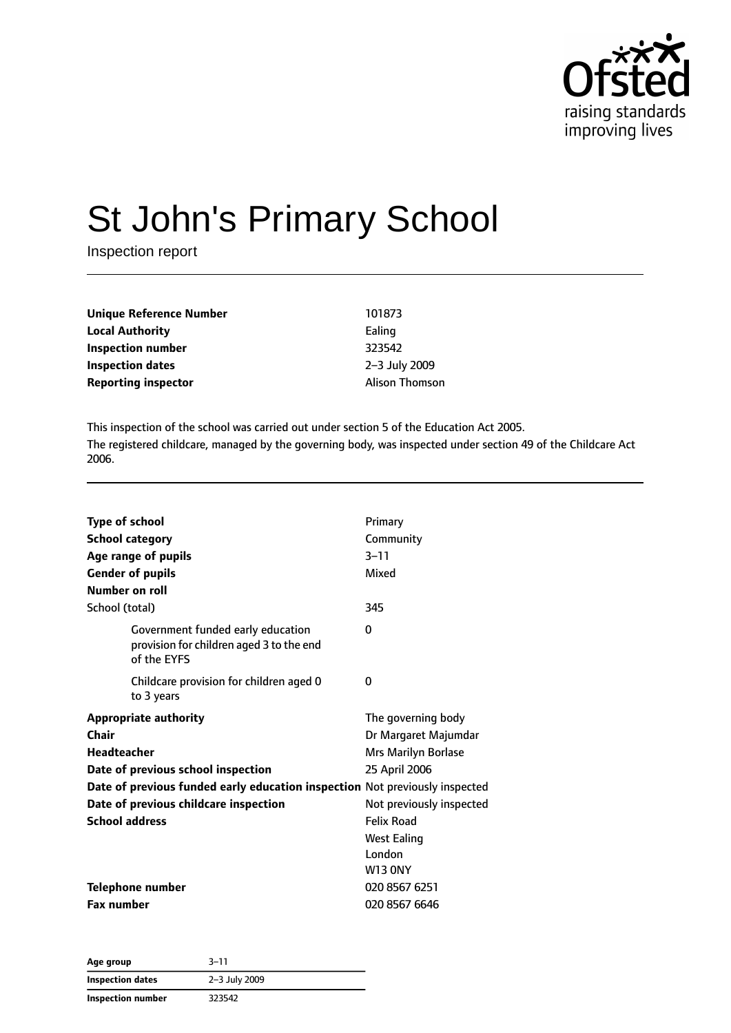

# St John's Primary School

Inspection report

| <b>Unique Reference Number</b> | 101873                |
|--------------------------------|-----------------------|
| <b>Local Authority</b>         | Ealing                |
| Inspection number              | 323542                |
| Inspection dates               | 2-3 July 2009         |
| <b>Reporting inspector</b>     | <b>Alison Thomson</b> |

This inspection of the school was carried out under section 5 of the Education Act 2005. The registered childcare, managed by the governing body, was inspected under section 49 of the Childcare Act 2006.

| <b>Type of school</b><br><b>School category</b><br>Age range of pupils<br><b>Gender of pupils</b><br>Number on roll | Primary<br>Community<br>$3 - 11$<br>Mixed |
|---------------------------------------------------------------------------------------------------------------------|-------------------------------------------|
| School (total)                                                                                                      | 345                                       |
| Government funded early education<br>provision for children aged 3 to the end<br>of the EYFS                        | $\Omega$                                  |
| Childcare provision for children aged 0<br>to 3 years                                                               | 0                                         |
| <b>Appropriate authority</b>                                                                                        | The governing body                        |
| Chair                                                                                                               | Dr Margaret Majumdar                      |
| <b>Headteacher</b>                                                                                                  | Mrs Marilyn Borlase                       |
| Date of previous school inspection                                                                                  | 25 April 2006                             |
| Date of previous funded early education inspection Not previously inspected                                         |                                           |
| Date of previous childcare inspection                                                                               | Not previously inspected                  |
| <b>School address</b>                                                                                               | <b>Felix Road</b>                         |
|                                                                                                                     | <b>West Ealing</b>                        |
|                                                                                                                     | London                                    |
|                                                                                                                     | <b>W13 ONY</b>                            |
| <b>Telephone number</b>                                                                                             | 020 8567 6251                             |
| <b>Fax number</b>                                                                                                   | 020 8567 6646                             |

| Age group                | $3 - 11$      |  |
|--------------------------|---------------|--|
| <b>Inspection dates</b>  | 2-3 July 2009 |  |
| <b>Inspection number</b> | 323542        |  |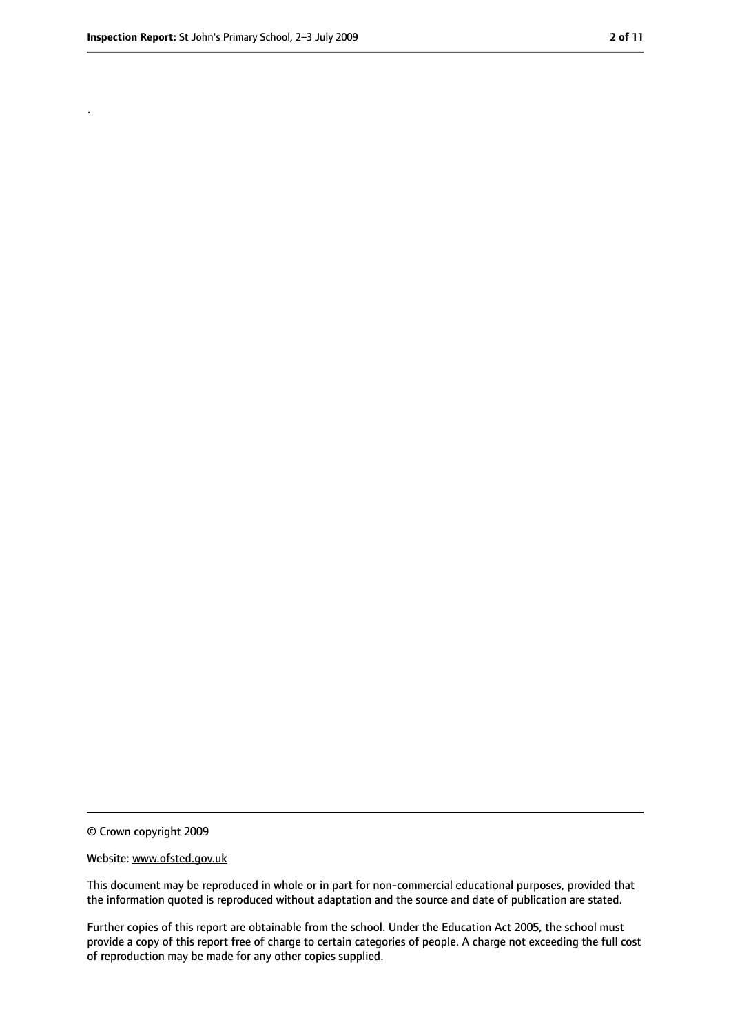.

<sup>©</sup> Crown copyright 2009

Website: www.ofsted.gov.uk

This document may be reproduced in whole or in part for non-commercial educational purposes, provided that the information quoted is reproduced without adaptation and the source and date of publication are stated.

Further copies of this report are obtainable from the school. Under the Education Act 2005, the school must provide a copy of this report free of charge to certain categories of people. A charge not exceeding the full cost of reproduction may be made for any other copies supplied.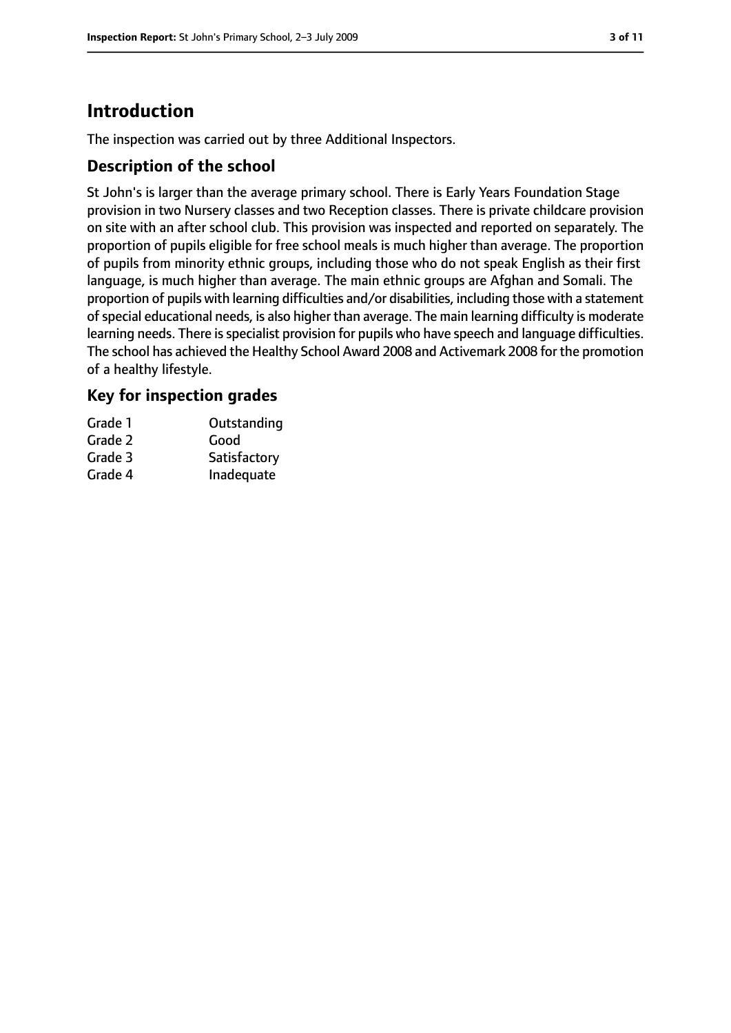# **Introduction**

The inspection was carried out by three Additional Inspectors.

## **Description of the school**

St John's is larger than the average primary school. There is Early Years Foundation Stage provision in two Nursery classes and two Reception classes. There is private childcare provision on site with an after school club. This provision was inspected and reported on separately. The proportion of pupils eligible for free school meals is much higher than average. The proportion of pupils from minority ethnic groups, including those who do not speak English as their first language, is much higher than average. The main ethnic groups are Afghan and Somali. The proportion of pupils with learning difficulties and/or disabilities, including those with a statement ofspecial educational needs, is also higher than average. The main learning difficulty is moderate learning needs. There is specialist provision for pupils who have speech and language difficulties. The school has achieved the Healthy School Award 2008 and Activemark 2008 for the promotion of a healthy lifestyle.

## **Key for inspection grades**

| Grade 1 | Outstanding  |
|---------|--------------|
| Grade 2 | Good         |
| Grade 3 | Satisfactory |
| Grade 4 | Inadequate   |
|         |              |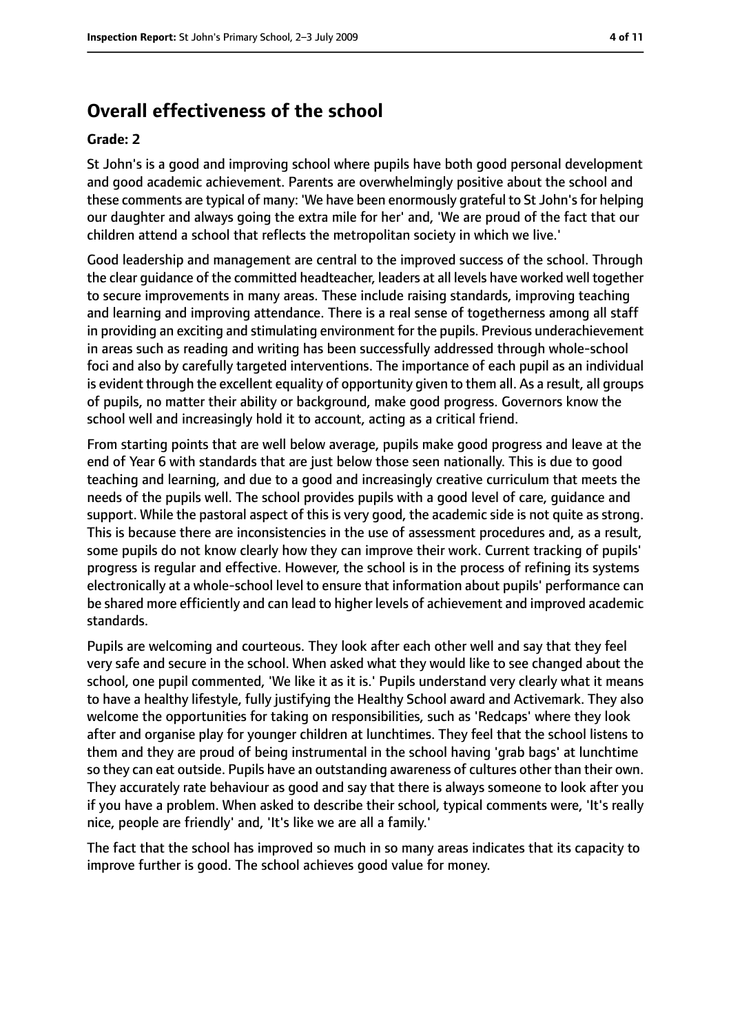# **Overall effectiveness of the school**

#### **Grade: 2**

St John's is a good and improving school where pupils have both good personal development and good academic achievement. Parents are overwhelmingly positive about the school and these comments are typical of many: 'We have been enormously grateful to St John's for helping our daughter and always going the extra mile for her' and, 'We are proud of the fact that our children attend a school that reflects the metropolitan society in which we live.'

Good leadership and management are central to the improved success of the school. Through the clear guidance of the committed headteacher, leaders at all levels have worked well together to secure improvements in many areas. These include raising standards, improving teaching and learning and improving attendance. There is a real sense of togetherness among all staff in providing an exciting and stimulating environment for the pupils. Previous underachievement in areas such as reading and writing has been successfully addressed through whole-school foci and also by carefully targeted interventions. The importance of each pupil as an individual is evident through the excellent equality of opportunity given to them all. As a result, all groups of pupils, no matter their ability or background, make good progress. Governors know the school well and increasingly hold it to account, acting as a critical friend.

From starting points that are well below average, pupils make good progress and leave at the end of Year 6 with standards that are just below those seen nationally. This is due to good teaching and learning, and due to a good and increasingly creative curriculum that meets the needs of the pupils well. The school provides pupils with a good level of care, guidance and support. While the pastoral aspect of this is very good, the academic side is not quite as strong. This is because there are inconsistencies in the use of assessment procedures and, as a result, some pupils do not know clearly how they can improve their work. Current tracking of pupils' progress is regular and effective. However, the school is in the process of refining its systems electronically at a whole-school level to ensure that information about pupils' performance can be shared more efficiently and can lead to higher levels of achievement and improved academic standards.

Pupils are welcoming and courteous. They look after each other well and say that they feel very safe and secure in the school. When asked what they would like to see changed about the school, one pupil commented, 'We like it as it is.' Pupils understand very clearly what it means to have a healthy lifestyle, fully justifying the Healthy School award and Activemark. They also welcome the opportunities for taking on responsibilities, such as 'Redcaps' where they look after and organise play for younger children at lunchtimes. They feel that the school listens to them and they are proud of being instrumental in the school having 'grab bags' at lunchtime so they can eat outside. Pupils have an outstanding awareness of cultures other than their own. They accurately rate behaviour as good and say that there is always someone to look after you if you have a problem. When asked to describe their school, typical comments were, 'It's really nice, people are friendly' and, 'It's like we are all a family.'

The fact that the school has improved so much in so many areas indicates that its capacity to improve further is good. The school achieves good value for money.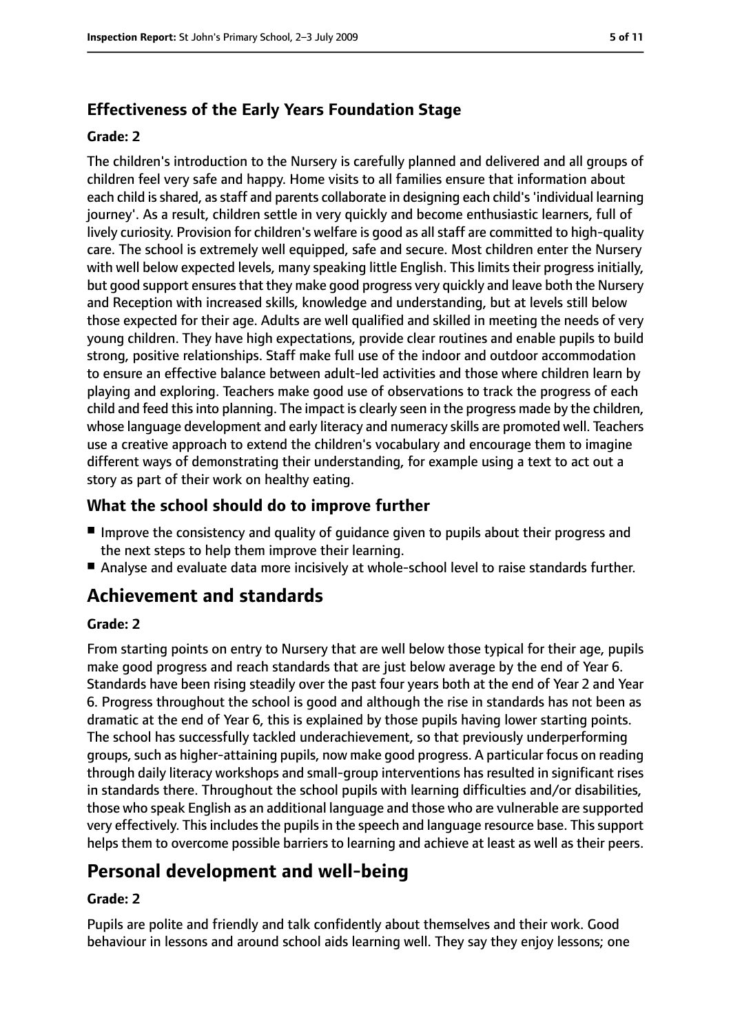## **Effectiveness of the Early Years Foundation Stage**

#### **Grade: 2**

The children's introduction to the Nursery is carefully planned and delivered and all groups of children feel very safe and happy. Home visits to all families ensure that information about each child is shared, as staff and parents collaborate in designing each child's 'individual learning journey'. As a result, children settle in very quickly and become enthusiastic learners, full of lively curiosity. Provision for children's welfare is good as all staff are committed to high-quality care. The school is extremely well equipped, safe and secure. Most children enter the Nursery with well below expected levels, many speaking little English. This limits their progress initially, but good support ensures that they make good progress very quickly and leave both the Nursery and Reception with increased skills, knowledge and understanding, but at levels still below those expected for their age. Adults are well qualified and skilled in meeting the needs of very young children. They have high expectations, provide clear routines and enable pupils to build strong, positive relationships. Staff make full use of the indoor and outdoor accommodation to ensure an effective balance between adult-led activities and those where children learn by playing and exploring. Teachers make good use of observations to track the progress of each child and feed this into planning. The impact is clearly seen in the progress made by the children, whose language development and early literacy and numeracy skills are promoted well. Teachers use a creative approach to extend the children's vocabulary and encourage them to imagine different ways of demonstrating their understanding, for example using a text to act out a story as part of their work on healthy eating.

## **What the school should do to improve further**

- Improve the consistency and quality of quidance given to pupils about their progress and the next steps to help them improve their learning.
- Analyse and evaluate data more incisively at whole-school level to raise standards further.

# **Achievement and standards**

#### **Grade: 2**

From starting points on entry to Nursery that are well below those typical for their age, pupils make good progress and reach standards that are just below average by the end of Year 6. Standards have been rising steadily over the past four years both at the end of Year 2 and Year 6. Progress throughout the school is good and although the rise in standards has not been as dramatic at the end of Year 6, this is explained by those pupils having lower starting points. The school has successfully tackled underachievement, so that previously underperforming groups, such as higher-attaining pupils, now make good progress. A particular focus on reading through daily literacy workshops and small-group interventions has resulted in significant rises in standards there. Throughout the school pupils with learning difficulties and/or disabilities, those who speak English as an additional language and those who are vulnerable are supported very effectively. This includes the pupils in the speech and language resource base. This support helps them to overcome possible barriers to learning and achieve at least as well as their peers.

# **Personal development and well-being**

#### **Grade: 2**

Pupils are polite and friendly and talk confidently about themselves and their work. Good behaviour in lessons and around school aids learning well. They say they enjoy lessons; one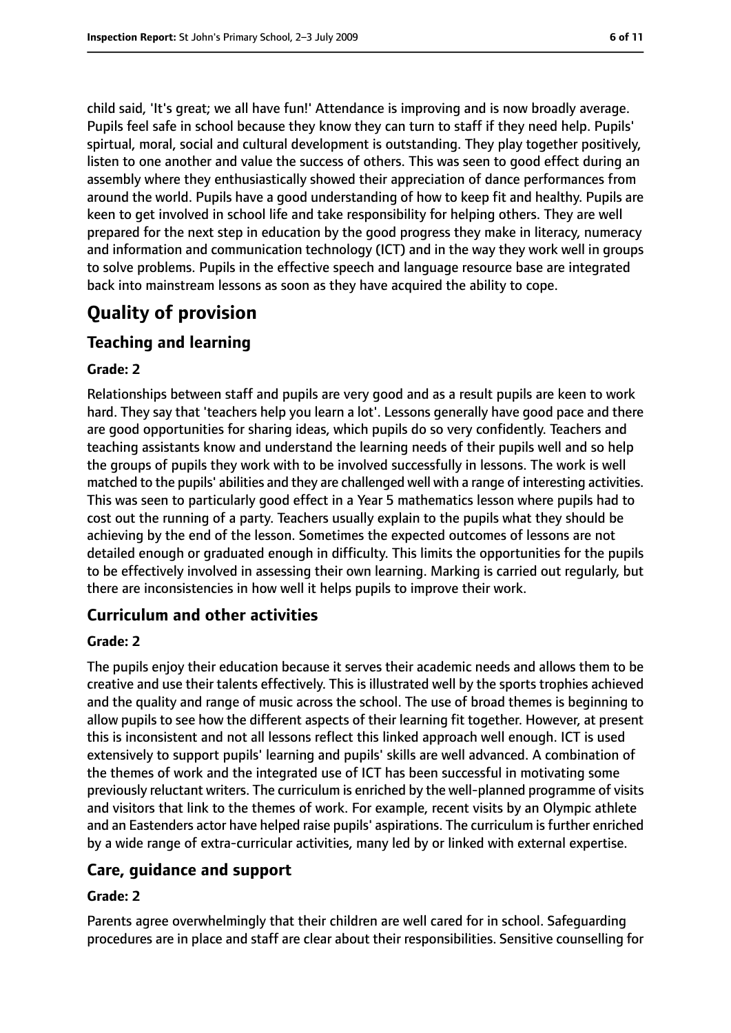child said, 'It's great; we all have fun!' Attendance is improving and is now broadly average. Pupils feel safe in school because they know they can turn to staff if they need help. Pupils' spirtual, moral, social and cultural development is outstanding. They play together positively, listen to one another and value the success of others. This was seen to good effect during an assembly where they enthusiastically showed their appreciation of dance performances from around the world. Pupils have a good understanding of how to keep fit and healthy. Pupils are keen to get involved in school life and take responsibility for helping others. They are well prepared for the next step in education by the good progress they make in literacy, numeracy and information and communication technology (ICT) and in the way they work well in groups to solve problems. Pupils in the effective speech and language resource base are integrated back into mainstream lessons as soon as they have acquired the ability to cope.

# **Quality of provision**

## **Teaching and learning**

#### **Grade: 2**

Relationships between staff and pupils are very good and as a result pupils are keen to work hard. They say that 'teachers help you learn a lot'. Lessons generally have good pace and there are good opportunities for sharing ideas, which pupils do so very confidently. Teachers and teaching assistants know and understand the learning needs of their pupils well and so help the groups of pupils they work with to be involved successfully in lessons. The work is well matched to the pupils' abilities and they are challenged well with a range of interesting activities. This was seen to particularly good effect in a Year 5 mathematics lesson where pupils had to cost out the running of a party. Teachers usually explain to the pupils what they should be achieving by the end of the lesson. Sometimes the expected outcomes of lessons are not detailed enough or graduated enough in difficulty. This limits the opportunities for the pupils to be effectively involved in assessing their own learning. Marking is carried out regularly, but there are inconsistencies in how well it helps pupils to improve their work.

#### **Curriculum and other activities**

#### **Grade: 2**

The pupils enjoy their education because it serves their academic needs and allows them to be creative and use their talents effectively. This is illustrated well by the sports trophies achieved and the quality and range of music across the school. The use of broad themes is beginning to allow pupils to see how the different aspects of their learning fit together. However, at present this is inconsistent and not all lessons reflect this linked approach well enough. ICT is used extensively to support pupils' learning and pupils' skills are well advanced. A combination of the themes of work and the integrated use of ICT has been successful in motivating some previously reluctant writers. The curriculum is enriched by the well-planned programme of visits and visitors that link to the themes of work. For example, recent visits by an Olympic athlete and an Eastenders actor have helped raise pupils' aspirations. The curriculum is further enriched by a wide range of extra-curricular activities, many led by or linked with external expertise.

#### **Care, guidance and support**

#### **Grade: 2**

Parents agree overwhelmingly that their children are well cared for in school. Safeguarding procedures are in place and staff are clear about their responsibilities. Sensitive counselling for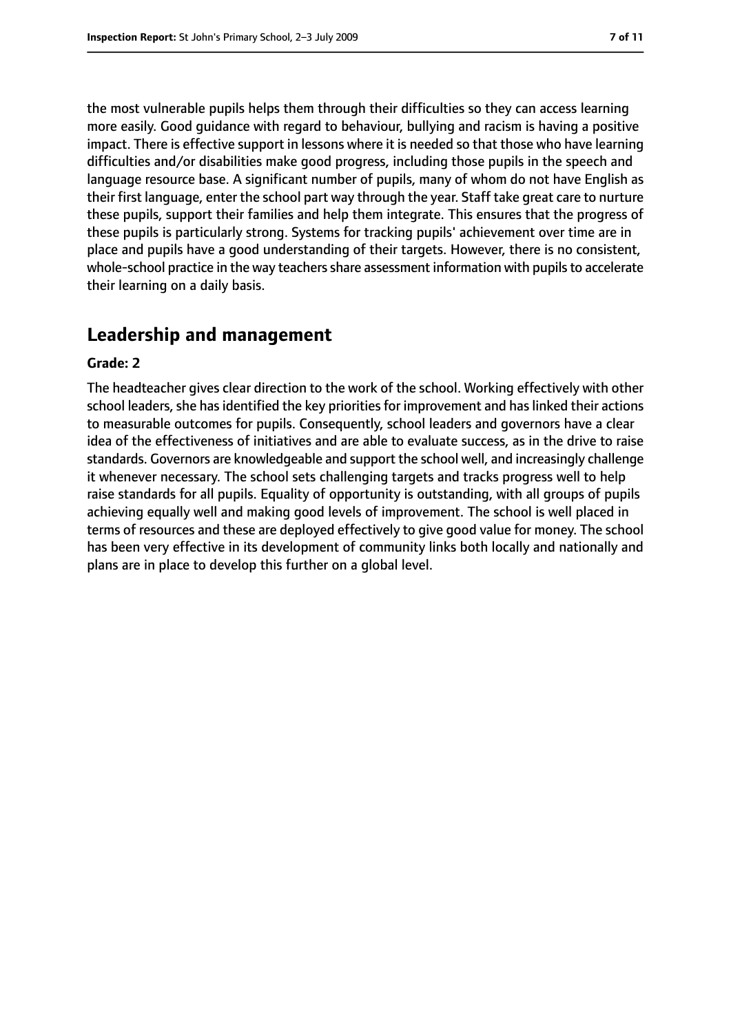the most vulnerable pupils helps them through their difficulties so they can access learning more easily. Good guidance with regard to behaviour, bullying and racism is having a positive impact. There is effective support in lessons where it is needed so that those who have learning difficulties and/or disabilities make good progress, including those pupils in the speech and language resource base. A significant number of pupils, many of whom do not have English as their first language, enter the school part way through the year. Staff take great care to nurture these pupils, support their families and help them integrate. This ensures that the progress of these pupils is particularly strong. Systems for tracking pupils' achievement over time are in place and pupils have a good understanding of their targets. However, there is no consistent, whole-school practice in the way teachers share assessment information with pupils to accelerate their learning on a daily basis.

# **Leadership and management**

#### **Grade: 2**

The headteacher gives clear direction to the work of the school. Working effectively with other school leaders, she has identified the key priorities for improvement and has linked their actions to measurable outcomes for pupils. Consequently, school leaders and governors have a clear idea of the effectiveness of initiatives and are able to evaluate success, as in the drive to raise standards. Governors are knowledgeable and support the school well, and increasingly challenge it whenever necessary. The school sets challenging targets and tracks progress well to help raise standards for all pupils. Equality of opportunity is outstanding, with all groups of pupils achieving equally well and making good levels of improvement. The school is well placed in terms of resources and these are deployed effectively to give good value for money. The school has been very effective in its development of community links both locally and nationally and plans are in place to develop this further on a global level.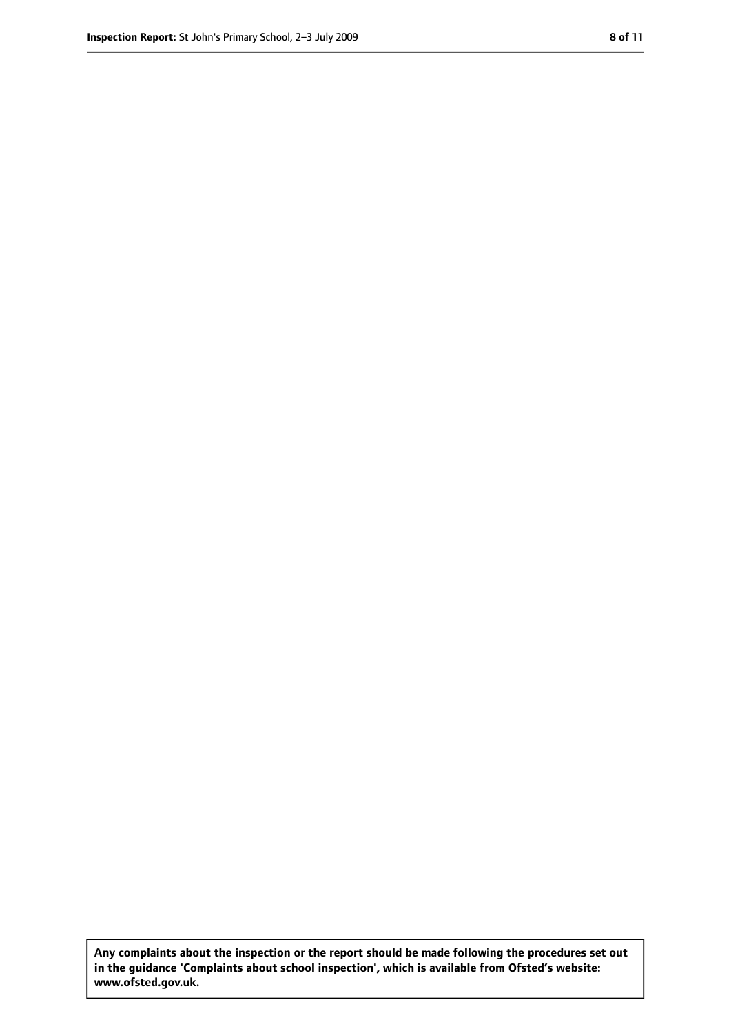**Any complaints about the inspection or the report should be made following the procedures set out in the guidance 'Complaints about school inspection', which is available from Ofsted's website: www.ofsted.gov.uk.**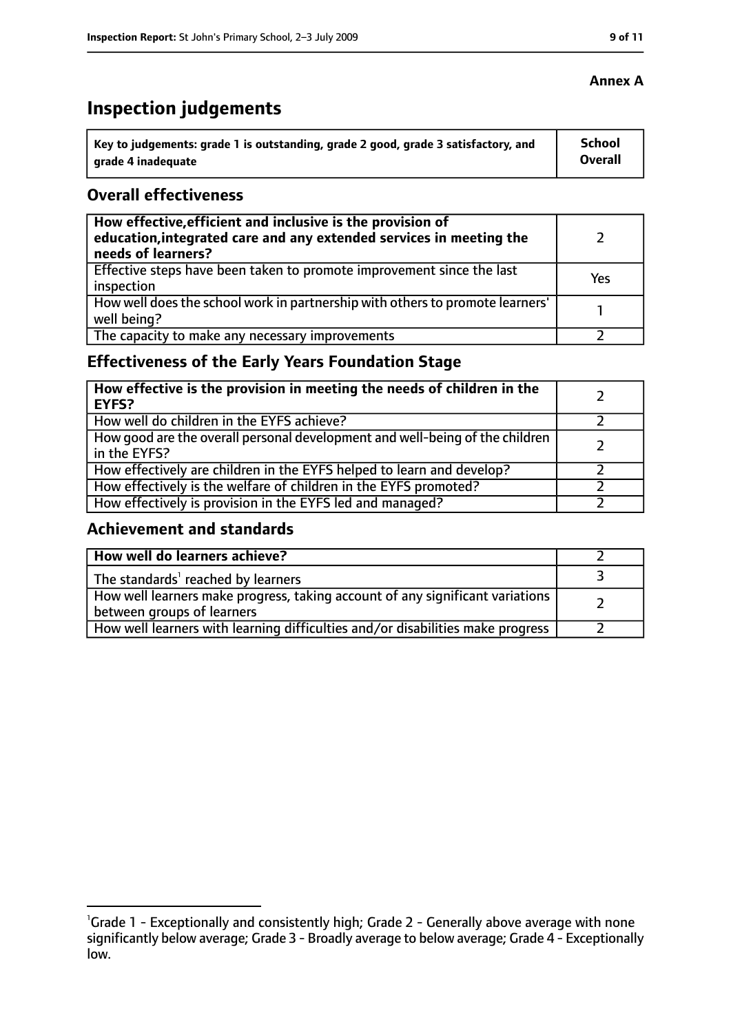# **Inspection judgements**

| ˈ Key to judgements: grade 1 is outstanding, grade 2 good, grade 3 satisfactory, and | School         |
|--------------------------------------------------------------------------------------|----------------|
| grade 4 inadequate                                                                   | <b>Overall</b> |

## **Overall effectiveness**

| How effective, efficient and inclusive is the provision of<br>education, integrated care and any extended services in meeting the<br>needs of learners? |     |
|---------------------------------------------------------------------------------------------------------------------------------------------------------|-----|
| Effective steps have been taken to promote improvement since the last<br>inspection                                                                     | Yes |
| How well does the school work in partnership with others to promote learners'<br>well being?                                                            |     |
| The capacity to make any necessary improvements                                                                                                         |     |

# **Effectiveness of the Early Years Foundation Stage**

| How effective is the provision in meeting the needs of children in the<br>l EYFS?            |  |
|----------------------------------------------------------------------------------------------|--|
| How well do children in the EYFS achieve?                                                    |  |
| How good are the overall personal development and well-being of the children<br>in the EYFS? |  |
| How effectively are children in the EYFS helped to learn and develop?                        |  |
| How effectively is the welfare of children in the EYFS promoted?                             |  |
| How effectively is provision in the EYFS led and managed?                                    |  |

#### **Achievement and standards**

| How well do learners achieve?                                                  |  |
|--------------------------------------------------------------------------------|--|
| $\vert$ The standards <sup>1</sup> reached by learners                         |  |
| How well learners make progress, taking account of any significant variations  |  |
| between groups of learners                                                     |  |
| How well learners with learning difficulties and/or disabilities make progress |  |

## **Annex A**

<sup>&</sup>lt;sup>1</sup>Grade 1 - Exceptionally and consistently high; Grade 2 - Generally above average with none significantly below average; Grade 3 - Broadly average to below average; Grade 4 - Exceptionally low.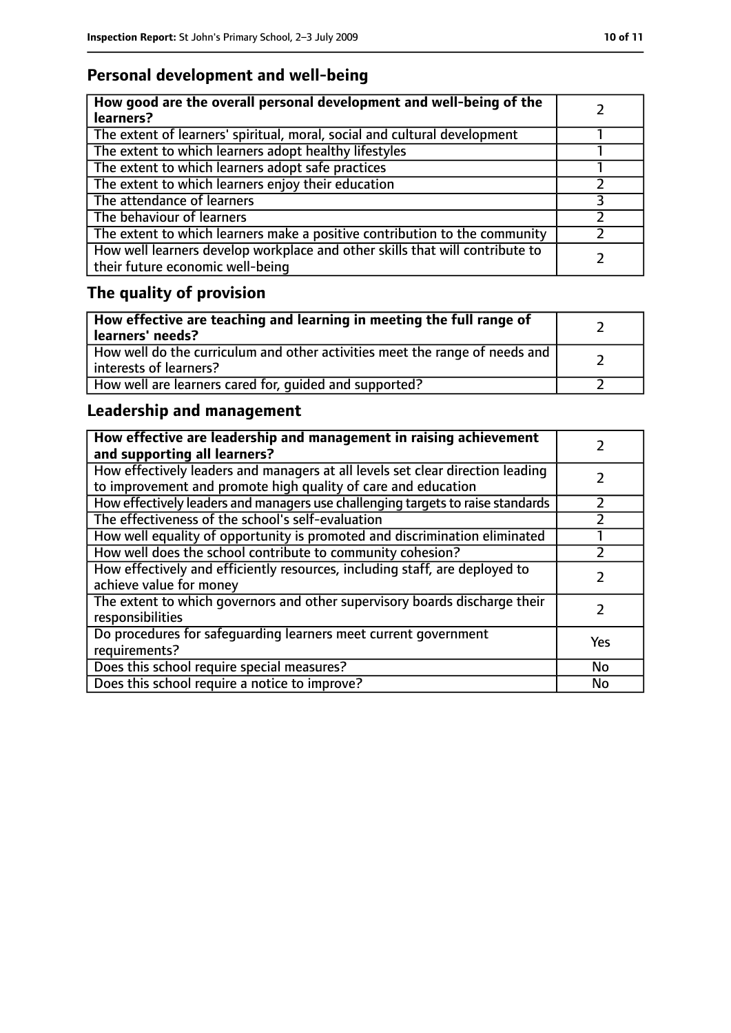# **Personal development and well-being**

| How good are the overall personal development and well-being of the<br>learners?                                 |  |
|------------------------------------------------------------------------------------------------------------------|--|
| The extent of learners' spiritual, moral, social and cultural development                                        |  |
| The extent to which learners adopt healthy lifestyles                                                            |  |
| The extent to which learners adopt safe practices                                                                |  |
| The extent to which learners enjoy their education                                                               |  |
| The attendance of learners                                                                                       |  |
| The behaviour of learners                                                                                        |  |
| The extent to which learners make a positive contribution to the community                                       |  |
| How well learners develop workplace and other skills that will contribute to<br>their future economic well-being |  |

# **The quality of provision**

| How effective are teaching and learning in meeting the full range of<br>learners' needs?              |  |
|-------------------------------------------------------------------------------------------------------|--|
| How well do the curriculum and other activities meet the range of needs and<br>interests of learners? |  |
| How well are learners cared for, quided and supported?                                                |  |

# **Leadership and management**

| How effective are leadership and management in raising achievement<br>and supporting all learners?                                              |     |
|-------------------------------------------------------------------------------------------------------------------------------------------------|-----|
| How effectively leaders and managers at all levels set clear direction leading<br>to improvement and promote high quality of care and education |     |
| How effectively leaders and managers use challenging targets to raise standards                                                                 |     |
| The effectiveness of the school's self-evaluation                                                                                               |     |
| How well equality of opportunity is promoted and discrimination eliminated                                                                      |     |
| How well does the school contribute to community cohesion?                                                                                      |     |
| How effectively and efficiently resources, including staff, are deployed to<br>achieve value for money                                          |     |
| The extent to which governors and other supervisory boards discharge their<br>responsibilities                                                  |     |
| Do procedures for safequarding learners meet current government<br>requirements?                                                                | Yes |
| Does this school require special measures?                                                                                                      | No  |
| Does this school require a notice to improve?                                                                                                   | No  |